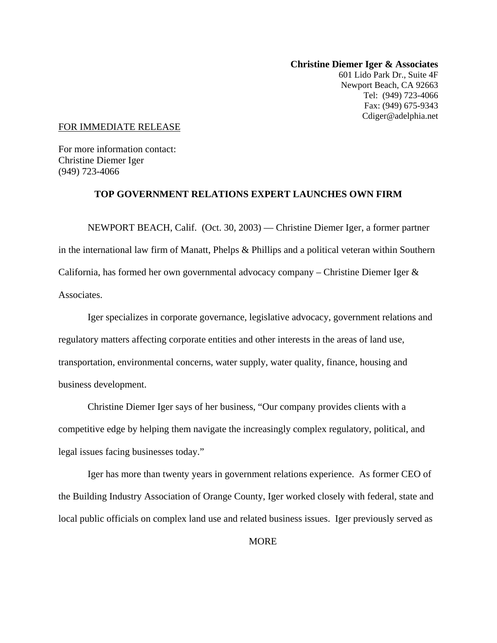**Christine Diemer Iger & Associates**  601 Lido Park Dr., Suite 4F Newport Beach, CA 92663 Tel: (949) 723-4066 Fax: (949) 675-9343 Cdiger@adelphia.net

## FOR IMMEDIATE RELEASE

For more information contact: Christine Diemer Iger (949) 723-4066

## **TOP GOVERNMENT RELATIONS EXPERT LAUNCHES OWN FIRM**

NEWPORT BEACH, Calif. (Oct. 30, 2003) — Christine Diemer Iger, a former partner in the international law firm of Manatt, Phelps & Phillips and a political veteran within Southern California, has formed her own governmental advocacy company – Christine Diemer Iger & Associates.

Iger specializes in corporate governance, legislative advocacy, government relations and regulatory matters affecting corporate entities and other interests in the areas of land use, transportation, environmental concerns, water supply, water quality, finance, housing and business development.

Christine Diemer Iger says of her business, "Our company provides clients with a competitive edge by helping them navigate the increasingly complex regulatory, political, and legal issues facing businesses today."

Iger has more than twenty years in government relations experience. As former CEO of the Building Industry Association of Orange County, Iger worked closely with federal, state and local public officials on complex land use and related business issues. Iger previously served as

**MORE**